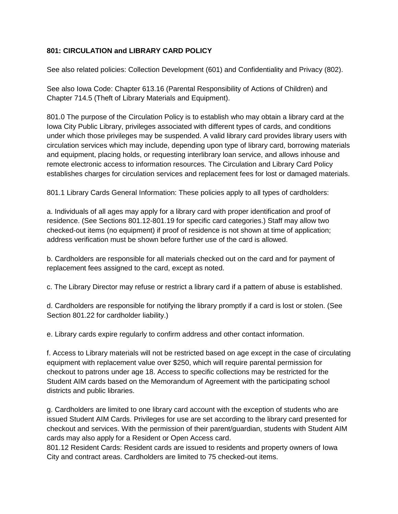## **801: CIRCULATION and LIBRARY CARD POLICY**

See also related policies: Collection Development (601) and Confidentiality and Privacy (802).

See also Iowa Code: Chapter 613.16 (Parental Responsibility of Actions of Children) and Chapter 714.5 (Theft of Library Materials and Equipment).

801.0 The purpose of the Circulation Policy is to establish who may obtain a library card at the Iowa City Public Library, privileges associated with different types of cards, and conditions under which those privileges may be suspended. A valid library card provides library users with circulation services which may include, depending upon type of library card, borrowing materials and equipment, placing holds, or requesting interlibrary loan service, and allows inhouse and remote electronic access to information resources. The Circulation and Library Card Policy establishes charges for circulation services and replacement fees for lost or damaged materials.

801.1 Library Cards General Information: These policies apply to all types of cardholders:

a. Individuals of all ages may apply for a library card with proper identification and proof of residence. (See Sections 801.12-801.19 for specific card categories.) Staff may allow two checked-out items (no equipment) if proof of residence is not shown at time of application; address verification must be shown before further use of the card is allowed.

b. Cardholders are responsible for all materials checked out on the card and for payment of replacement fees assigned to the card, except as noted.

c. The Library Director may refuse or restrict a library card if a pattern of abuse is established.

d. Cardholders are responsible for notifying the library promptly if a card is lost or stolen. (See Section 801.22 for cardholder liability.)

e. Library cards expire regularly to confirm address and other contact information.

f. Access to Library materials will not be restricted based on age except in the case of circulating equipment with replacement value over \$250, which will require parental permission for checkout to patrons under age 18. Access to specific collections may be restricted for the Student AIM cards based on the Memorandum of Agreement with the participating school districts and public libraries.

g. Cardholders are limited to one library card account with the exception of students who are issued Student AIM Cards. Privileges for use are set according to the library card presented for checkout and services. With the permission of their parent/guardian, students with Student AIM cards may also apply for a Resident or Open Access card.

801.12 Resident Cards: Resident cards are issued to residents and property owners of Iowa City and contract areas. Cardholders are limited to 75 checked-out items.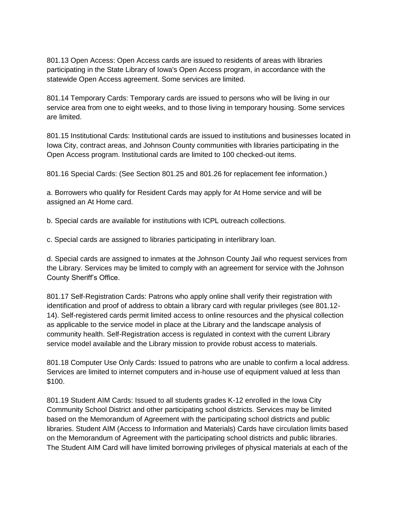801.13 Open Access: Open Access cards are issued to residents of areas with libraries participating in the State Library of Iowa's Open Access program, in accordance with the statewide Open Access agreement. Some services are limited.

801.14 Temporary Cards: Temporary cards are issued to persons who will be living in our service area from one to eight weeks, and to those living in temporary housing. Some services are limited.

801.15 Institutional Cards: Institutional cards are issued to institutions and businesses located in Iowa City, contract areas, and Johnson County communities with libraries participating in the Open Access program. Institutional cards are limited to 100 checked-out items.

801.16 Special Cards: (See Section 801.25 and 801.26 for replacement fee information.)

a. Borrowers who qualify for Resident Cards may apply for At Home service and will be assigned an At Home card.

b. Special cards are available for institutions with ICPL outreach collections.

c. Special cards are assigned to libraries participating in interlibrary loan.

d. Special cards are assigned to inmates at the Johnson County Jail who request services from the Library. Services may be limited to comply with an agreement for service with the Johnson County Sheriff's Office.

801.17 Self-Registration Cards: Patrons who apply online shall verify their registration with identification and proof of address to obtain a library card with regular privileges (see 801.12- 14). Self-registered cards permit limited access to online resources and the physical collection as applicable to the service model in place at the Library and the landscape analysis of community health. Self-Registration access is regulated in context with the current Library service model available and the Library mission to provide robust access to materials.

801.18 Computer Use Only Cards: Issued to patrons who are unable to confirm a local address. Services are limited to internet computers and in-house use of equipment valued at less than \$100.

801.19 Student AIM Cards: Issued to all students grades K-12 enrolled in the Iowa City Community School District and other participating school districts. Services may be limited based on the Memorandum of Agreement with the participating school districts and public libraries. Student AIM (Access to Information and Materials) Cards have circulation limits based on the Memorandum of Agreement with the participating school districts and public libraries. The Student AIM Card will have limited borrowing privileges of physical materials at each of the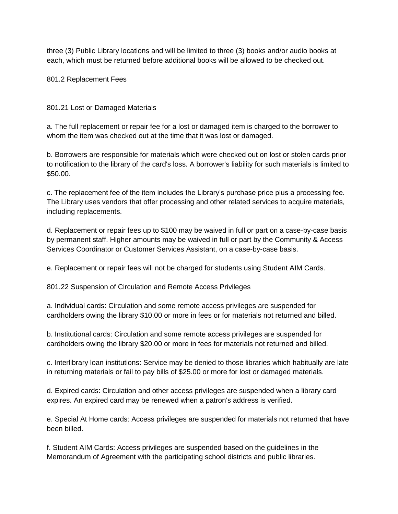three (3) Public Library locations and will be limited to three (3) books and/or audio books at each, which must be returned before additional books will be allowed to be checked out.

801.2 Replacement Fees

801.21 Lost or Damaged Materials

a. The full replacement or repair fee for a lost or damaged item is charged to the borrower to whom the item was checked out at the time that it was lost or damaged.

b. Borrowers are responsible for materials which were checked out on lost or stolen cards prior to notification to the library of the card's loss. A borrower's liability for such materials is limited to \$50.00.

c. The replacement fee of the item includes the Library's purchase price plus a processing fee. The Library uses vendors that offer processing and other related services to acquire materials, including replacements.

d. Replacement or repair fees up to \$100 may be waived in full or part on a case-by-case basis by permanent staff. Higher amounts may be waived in full or part by the Community & Access Services Coordinator or Customer Services Assistant, on a case-by-case basis.

e. Replacement or repair fees will not be charged for students using Student AIM Cards.

801.22 Suspension of Circulation and Remote Access Privileges

a. Individual cards: Circulation and some remote access privileges are suspended for cardholders owing the library \$10.00 or more in fees or for materials not returned and billed.

b. Institutional cards: Circulation and some remote access privileges are suspended for cardholders owing the library \$20.00 or more in fees for materials not returned and billed.

c. Interlibrary loan institutions: Service may be denied to those libraries which habitually are late in returning materials or fail to pay bills of \$25.00 or more for lost or damaged materials.

d. Expired cards: Circulation and other access privileges are suspended when a library card expires. An expired card may be renewed when a patron's address is verified.

e. Special At Home cards: Access privileges are suspended for materials not returned that have been billed.

f. Student AIM Cards: Access privileges are suspended based on the guidelines in the Memorandum of Agreement with the participating school districts and public libraries.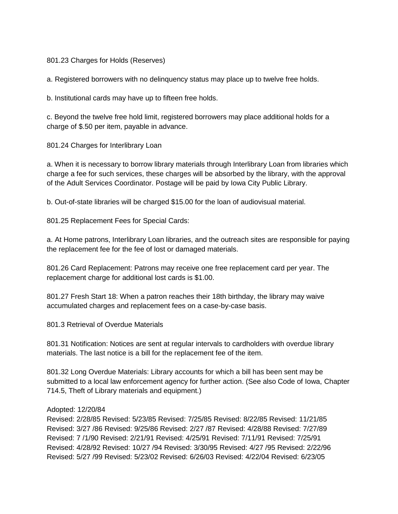801.23 Charges for Holds (Reserves)

a. Registered borrowers with no delinquency status may place up to twelve free holds.

b. Institutional cards may have up to fifteen free holds.

c. Beyond the twelve free hold limit, registered borrowers may place additional holds for a charge of \$.50 per item, payable in advance.

801.24 Charges for Interlibrary Loan

a. When it is necessary to borrow library materials through Interlibrary Loan from libraries which charge a fee for such services, these charges will be absorbed by the library, with the approval of the Adult Services Coordinator. Postage will be paid by Iowa City Public Library.

b. Out-of-state libraries will be charged \$15.00 for the loan of audiovisual material.

801.25 Replacement Fees for Special Cards:

a. At Home patrons, Interlibrary Loan libraries, and the outreach sites are responsible for paying the replacement fee for the fee of lost or damaged materials.

801.26 Card Replacement: Patrons may receive one free replacement card per year. The replacement charge for additional lost cards is \$1.00.

801.27 Fresh Start 18: When a patron reaches their 18th birthday, the library may waive accumulated charges and replacement fees on a case-by-case basis.

801.3 Retrieval of Overdue Materials

801.31 Notification: Notices are sent at regular intervals to cardholders with overdue library materials. The last notice is a bill for the replacement fee of the item.

801.32 Long Overdue Materials: Library accounts for which a bill has been sent may be submitted to a local law enforcement agency for further action. (See also Code of Iowa, Chapter 714.5, Theft of Library materials and equipment.)

## Adopted: 12/20/84

Revised: 2/28/85 Revised: 5/23/85 Revised: 7/25/85 Revised: 8/22/85 Revised: 11/21/85 Revised: 3/27 /86 Revised: 9/25/86 Revised: 2/27 /87 Revised: 4/28/88 Revised: 7/27/89 Revised: 7 /1/90 Revised: 2/21/91 Revised: 4/25/91 Revised: 7/11/91 Revised: 7/25/91 Revised: 4/28/92 Revised: 10/27 /94 Revised: 3/30/95 Revised: 4/27 /95 Revised: 2/22/96 Revised: 5/27 /99 Revised: 5/23/02 Revised: 6/26/03 Revised: 4/22/04 Revised: 6/23/05